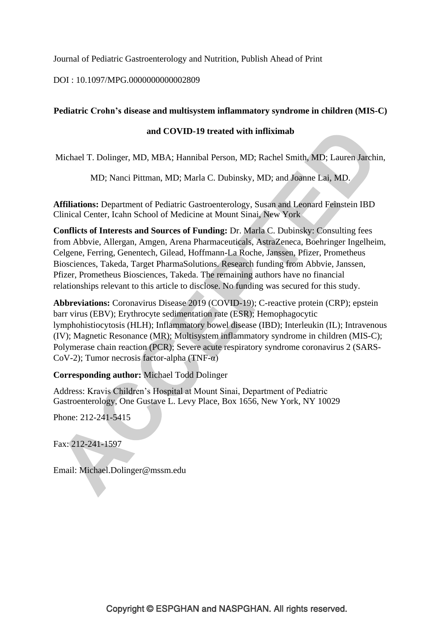Journal of Pediatric Gastroenterology and Nutrition, Publish Ahead of Print

DOI : 10.1097/MPG.0000000000002809

# **Pediatric Crohn's disease and multisystem inflammatory syndrome in children (MIS-C)**

# **and COVID-19 treated with infliximab**

Michael T. Dolinger, MD, MBA; Hannibal Person, MD; Rachel Smith, MD; Lauren Jarchin,

MD; Nanci Pittman, MD; Marla C. Dubinsky, MD; and Joanne Lai, MD.

**Affiliations:** Department of Pediatric Gastroenterology, Susan and Leonard Feinstein IBD Clinical Center, Icahn School of Medicine at Mount Sinai, New York

**Conflicts of Interests and Sources of Funding:** Dr. Marla C. Dubinsky: Consulting fees from Abbvie, Allergan, Amgen, Arena Pharmaceuticals, AstraZeneca, Boehringer Ingelheim, Celgene, Ferring, Genentech, Gilead, Hoffmann-La Roche, Janssen, Pfizer, Prometheus Biosciences, Takeda, Target PharmaSolutions. Research funding from Abbvie, Janssen, Pfizer, Prometheus Biosciences, Takeda. The remaining authors have no financial relationships relevant to this article to disclose. No funding was secured for this study.

**Abbreviations:** Coronavirus Disease 2019 (COVID-19); C-reactive protein (CRP); epstein barr virus (EBV); Erythrocyte sedimentation rate (ESR); Hemophagocytic lymphohistiocytosis (HLH); Inflammatory bowel disease (IBD); Interleukin (IL); Intravenous (IV); Magnetic Resonance (MR); Multisystem inflammatory syndrome in children (MIS-C); Polymerase chain reaction (PCR); Severe acute respiratory syndrome coronavirus 2 (SARS-CoV-2); Tumor necrosis factor-alpha (TNF-α)

### **Corresponding author:** Michael Todd Dolinger

Address: Kravis Children's Hospital at Mount Sinai, Department of Pediatric Gastroenterology, One Gustave L. Levy Place, Box 1656, New York, NY 10029

Phone: 212-241-5415

Fax: 212-241-1597

Email: Michael.Dolinger@mssm.edu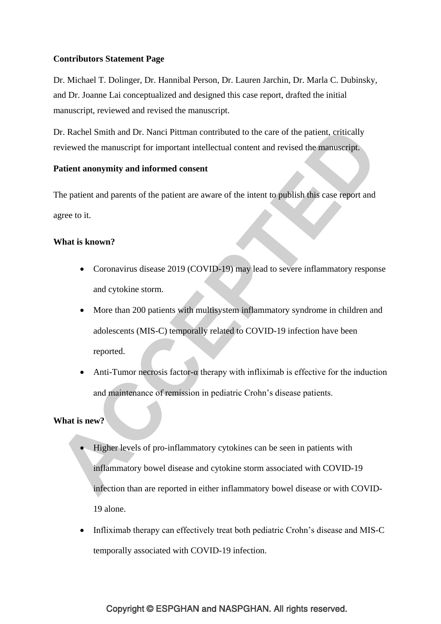# **Contributors Statement Page**

Dr. Michael T. Dolinger, Dr. Hannibal Person, Dr. Lauren Jarchin, Dr. Marla C. Dubinsky, and Dr. Joanne Lai conceptualized and designed this case report, drafted the initial manuscript, reviewed and revised the manuscript.

Dr. Rachel Smith and Dr. Nanci Pittman contributed to the care of the patient, critically reviewed the manuscript for important intellectual content and revised the manuscript.

# **Patient anonymity and informed consent**

The patient and parents of the patient are aware of the intent to publish this case report and agree to it.

# **What is known?**

- Coronavirus disease 2019 (COVID-19) may lead to severe inflammatory response and cytokine storm.
- More than 200 patients with multisystem inflammatory syndrome in children and adolescents (MIS-C) temporally related to COVID-19 infection have been reported.
- Anti-Tumor necrosis factor- $\alpha$  therapy with infliximab is effective for the induction and maintenance of remission in pediatric Crohn's disease patients.

# **What is new?**

- Higher levels of pro-inflammatory cytokines can be seen in patients with inflammatory bowel disease and cytokine storm associated with COVID-19 infection than are reported in either inflammatory bowel disease or with COVID-19 alone.
- Infliximab therapy can effectively treat both pediatric Crohn's disease and MIS-C temporally associated with COVID-19 infection.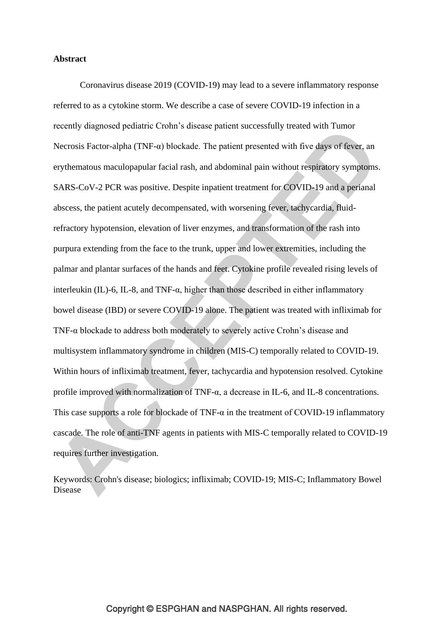### **Abstract**

Coronavirus disease 2019 (COVID-19) may lead to a severe inflammatory response referred to as a cytokine storm. We describe a case of severe COVID-19 infection in a recently diagnosed pediatric Crohn's disease patient successfully treated with Tumor Necrosis Factor-alpha (TNF- $\alpha$ ) blockade. The patient presented with five days of fever, an erythematous maculopapular facial rash, and abdominal pain without respiratory symptoms. SARS-CoV-2 PCR was positive. Despite inpatient treatment for COVID-19 and a perianal abscess, the patient acutely decompensated, with worsening fever, tachycardia, fluidrefractory hypotension, elevation of liver enzymes, and transformation of the rash into purpura extending from the face to the trunk, upper and lower extremities, including the palmar and plantar surfaces of the hands and feet. Cytokine profile revealed rising levels of interleukin (IL)-6, IL-8, and TNF- $\alpha$ , higher than those described in either inflammatory bowel disease (IBD) or severe COVID-19 alone. The patient was treated with infliximab for TNF-α blockade to address both moderately to severely active Crohn's disease and multisystem inflammatory syndrome in children (MIS-C) temporally related to COVID-19. Within hours of infliximab treatment, fever, tachycardia and hypotension resolved. Cytokine profile improved with normalization of TNF-α, a decrease in IL-6, and IL-8 concentrations. This case supports a role for blockade of TNF- $\alpha$  in the treatment of COVID-19 inflammatory cascade. The role of anti-TNF agents in patients with MIS-C temporally related to COVID-19 requires further investigation.

Keywords: Crohn's disease; biologics; infliximab; COVID-19; MIS-C; Inflammatory Bowel Disease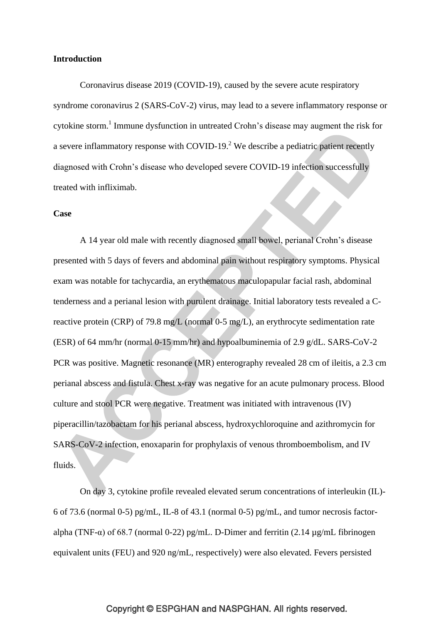### **Introduction**

Coronavirus disease 2019 (COVID-19), caused by the severe acute respiratory syndrome coronavirus 2 (SARS-CoV-2) virus, may lead to a severe inflammatory response or cytokine storm.<sup>1</sup> Immune dysfunction in untreated Crohn's disease may augment the risk for a severe inflammatory response with COVID-19. $^2$  We describe a pediatric patient recently diagnosed with Crohn's disease who developed severe COVID-19 infection successfully treated with infliximab.

#### **Case**

A 14 year old male with recently diagnosed small bowel, perianal Crohn's disease presented with 5 days of fevers and abdominal pain without respiratory symptoms. Physical exam was notable for tachycardia, an erythematous maculopapular facial rash, abdominal tenderness and a perianal lesion with purulent drainage. Initial laboratory tests revealed a Creactive protein (CRP) of 79.8 mg/L (normal 0-5 mg/L), an erythrocyte sedimentation rate (ESR) of 64 mm/hr (normal 0-15 mm/hr) and hypoalbuminemia of 2.9 g/dL. SARS-CoV-2 PCR was positive. Magnetic resonance (MR) enterography revealed 28 cm of ileitis, a 2.3 cm perianal abscess and fistula. Chest x-ray was negative for an acute pulmonary process. Blood culture and stool PCR were negative. Treatment was initiated with intravenous (IV) piperacillin/tazobactam for his perianal abscess, hydroxychloroquine and azithromycin for SARS-CoV-2 infection, enoxaparin for prophylaxis of venous thromboembolism, and IV fluids.

On day 3, cytokine profile revealed elevated serum concentrations of interleukin (IL)- 6 of 73.6 (normal 0-5) pg/mL, IL-8 of 43.1 (normal 0-5) pg/mL, and tumor necrosis factoralpha (TNF- $\alpha$ ) of 68.7 (normal 0-22) pg/mL. D-Dimer and ferritin (2.14 ug/mL fibrinogen equivalent units (FEU) and 920 ng/mL, respectively) were also elevated. Fevers persisted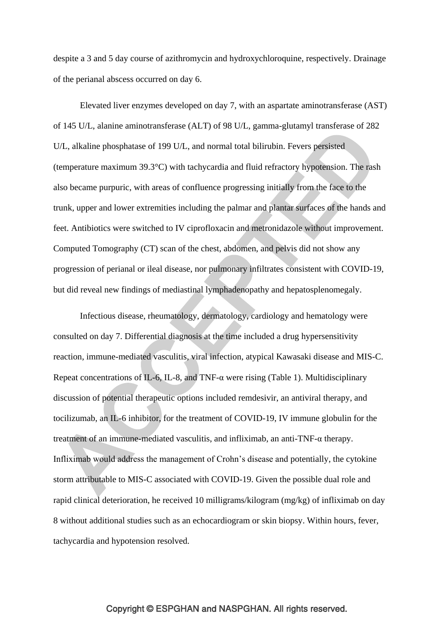despite a 3 and 5 day course of azithromycin and hydroxychloroquine, respectively. Drainage of the perianal abscess occurred on day 6.

Elevated liver enzymes developed on day 7, with an aspartate aminotransferase (AST) of 145 U/L, alanine aminotransferase (ALT) of 98 U/L, gamma-glutamyl transferase of 282 U/L, alkaline phosphatase of 199 U/L, and normal total bilirubin. Fevers persisted (temperature maximum 39.3°C) with tachycardia and fluid refractory hypotension. The rash also became purpuric, with areas of confluence progressing initially from the face to the trunk, upper and lower extremities including the palmar and plantar surfaces of the hands and feet. Antibiotics were switched to IV ciprofloxacin and metronidazole without improvement. Computed Tomography (CT) scan of the chest, abdomen, and pelvis did not show any progression of perianal or ileal disease, nor pulmonary infiltrates consistent with COVID-19, but did reveal new findings of mediastinal lymphadenopathy and hepatosplenomegaly.

Infectious disease, rheumatology, dermatology, cardiology and hematology were consulted on day 7. Differential diagnosis at the time included a drug hypersensitivity reaction, immune-mediated vasculitis, viral infection, atypical Kawasaki disease and MIS-C. Repeat concentrations of IL-6, IL-8, and TNF- $\alpha$  were rising (Table 1). Multidisciplinary discussion of potential therapeutic options included remdesivir, an antiviral therapy, and tocilizumab, an IL-6 inhibitor, for the treatment of COVID-19, IV immune globulin for the treatment of an immune-mediated vasculitis, and infliximab, an anti-TNF-α therapy. Infliximab would address the management of Crohn's disease and potentially, the cytokine storm attributable to MIS-C associated with COVID-19. Given the possible dual role and rapid clinical deterioration, he received 10 milligrams/kilogram (mg/kg) of infliximab on day 8 without additional studies such as an echocardiogram or skin biopsy. Within hours, fever, tachycardia and hypotension resolved.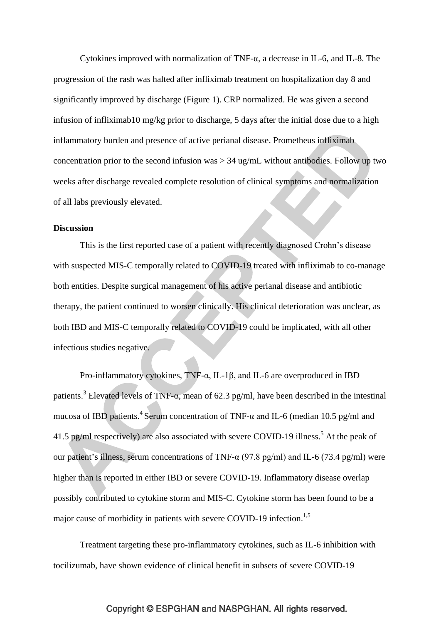Cytokines improved with normalization of TNF-α, a decrease in IL-6, and IL-8. The progression of the rash was halted after infliximab treatment on hospitalization day 8 and significantly improved by discharge (Figure 1). CRP normalized. He was given a second infusion of infliximab10 mg/kg prior to discharge, 5 days after the initial dose due to a high inflammatory burden and presence of active perianal disease. Prometheus infliximab concentration prior to the second infusion was > 34 ug/mL without antibodies. Follow up two weeks after discharge revealed complete resolution of clinical symptoms and normalization of all labs previously elevated.

### **Discussion**

This is the first reported case of a patient with recently diagnosed Crohn's disease with suspected MIS-C temporally related to COVID-19 treated with infliximab to co-manage both entities. Despite surgical management of his active perianal disease and antibiotic therapy, the patient continued to worsen clinically. His clinical deterioration was unclear, as both IBD and MIS-C temporally related to COVID-19 could be implicated, with all other infectious studies negative.

Pro-inflammatory cytokines, TNF-α, IL-1β, and IL-6 are overproduced in IBD patients.<sup>3</sup> Elevated levels of TNF- $\alpha$ , mean of 62.3 pg/ml, have been described in the intestinal mucosa of IBD patients.<sup>4</sup> Serum concentration of TNF- $\alpha$  and IL-6 (median 10.5 pg/ml and 41.5 pg/ml respectively) are also associated with severe COVID-19 illness.<sup>5</sup> At the peak of our patient's illness, serum concentrations of TNF- $\alpha$  (97.8 pg/ml) and IL-6 (73.4 pg/ml) were higher than is reported in either IBD or severe COVID-19. Inflammatory disease overlap possibly contributed to cytokine storm and MIS-C. Cytokine storm has been found to be a major cause of morbidity in patients with severe COVID-19 infection.<sup>1,5</sup>

Treatment targeting these pro-inflammatory cytokines, such as IL-6 inhibition with tocilizumab, have shown evidence of clinical benefit in subsets of severe COVID-19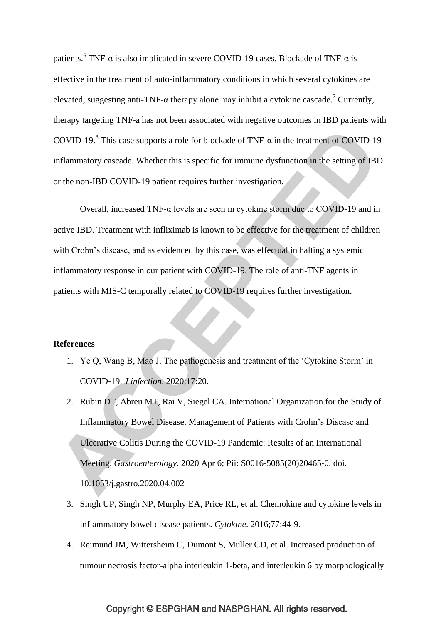patients.<sup>6</sup> TNF- $\alpha$  is also implicated in severe COVID-19 cases. Blockade of TNF- $\alpha$  is effective in the treatment of auto-inflammatory conditions in which several cytokines are elevated, suggesting anti-TNF- $\alpha$  therapy alone may inhibit a cytokine cascade.<sup>7</sup> Currently, therapy targeting TNF-a has not been associated with negative outcomes in IBD patients with COVID-19.<sup>8</sup> This case supports a role for blockade of TNF- $\alpha$  in the treatment of COVID-19 inflammatory cascade. Whether this is specific for immune dysfunction in the setting of IBD or the non-IBD COVID-19 patient requires further investigation.

Overall, increased TNF-α levels are seen in cytokine storm due to COVID-19 and in active IBD. Treatment with infliximab is known to be effective for the treatment of children with Crohn's disease, and as evidenced by this case, was effectual in halting a systemic inflammatory response in our patient with COVID-19. The role of anti-TNF agents in patients with MIS-C temporally related to COVID-19 requires further investigation.

### **References**

- 1. Ye Q, Wang B, Mao J. The pathogenesis and treatment of the 'Cytokine Storm' in COVID-19. *J infection*. 2020;17:20.
- 2. Rubin DT, Abreu MT, Rai V, Siegel CA. International Organization for the Study of Inflammatory Bowel Disease. Management of Patients with Crohn's Disease and Ulcerative Colitis During the COVID-19 Pandemic: Results of an International Meeting. *Gastroenterology*. 2020 Apr 6; Pii: S0016-5085(20)20465-0. doi. 10.1053/j.gastro.2020.04.002
- 3. Singh UP, Singh NP, Murphy EA, Price RL, et al. Chemokine and cytokine levels in inflammatory bowel disease patients. *Cytokine*. 2016;77:44-9.
- 4. Reimund JM, Wittersheim C, Dumont S, Muller CD, et al. Increased production of tumour necrosis factor-alpha interleukin 1-beta, and interleukin 6 by morphologically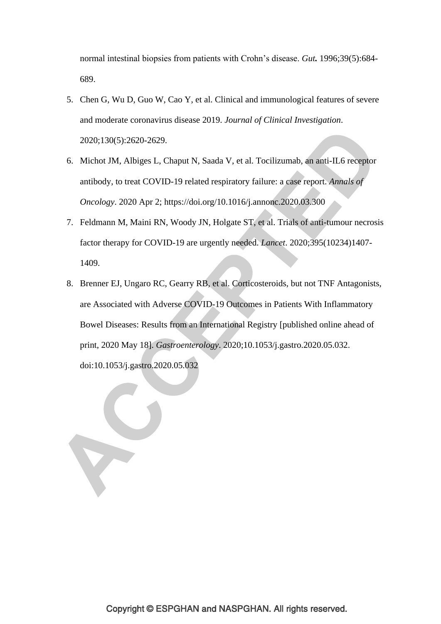normal intestinal biopsies from patients with Crohn's disease. *Gut.* 1996;39(5):684- 689.

- 5. Chen G, Wu D, Guo W, Cao Y, et al. Clinical and immunological features of severe and moderate coronavirus disease 2019. *Journal of Clinical Investigation*. 2020;130(5):2620-2629.
- 6. Michot JM, Albiges L, Chaput N, Saada V, et al. Tocilizumab, an anti-IL6 receptor antibody, to treat COVID-19 related respiratory failure: a case report. *Annals of Oncology*. 2020 Apr 2; https://doi.org/10.1016/j.annonc.2020.03.300
- 7. Feldmann M, Maini RN, Woody JN, Holgate ST, et al. Trials of anti-tumour necrosis factor therapy for COVID-19 are urgently needed. *Lancet*. 2020;395(10234)1407- 1409.
- 8. Brenner EJ, Ungaro RC, Gearry RB, et al. Corticosteroids, but not TNF Antagonists, are Associated with Adverse COVID-19 Outcomes in Patients With Inflammatory Bowel Diseases: Results from an International Registry [published online ahead of print, 2020 May 18]. *Gastroenterology*. 2020;10.1053/j.gastro.2020.05.032. doi:10.1053/j.gastro.2020.05.032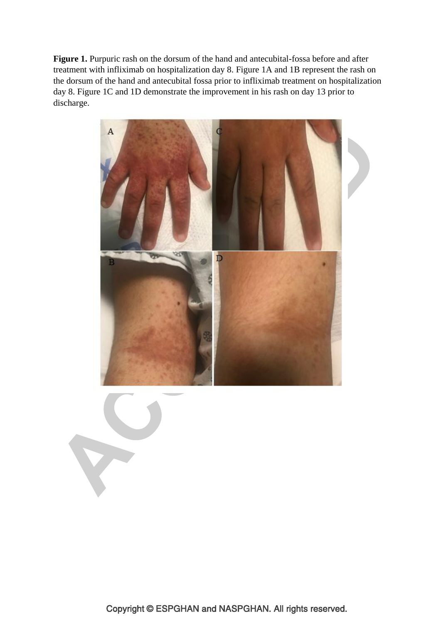**Figure 1.** Purpuric rash on the dorsum of the hand and antecubital-fossa before and after treatment with infliximab on hospitalization day 8. Figure 1A and 1B represent the rash on the dorsum of the hand and antecubital fossa prior to infliximab treatment on hospitalization day 8. Figure 1C and 1D demonstrate the improvement in his rash on day 13 prior to discharge.